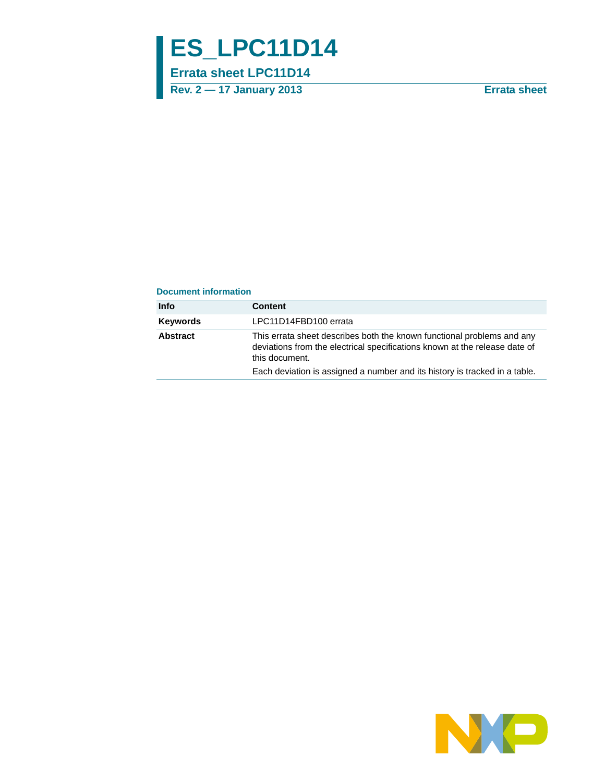# **ES\_LPC11D14**

**Errata sheet LPC11D14**

**Rev. 2 — 17 January 2013 Errata sheet**

#### **Document information**

| Info            | <b>Content</b>                                                                                                                                                         |
|-----------------|------------------------------------------------------------------------------------------------------------------------------------------------------------------------|
| <b>Keywords</b> | LPC11D14FBD100 errata                                                                                                                                                  |
| Abstract        | This errata sheet describes both the known functional problems and any<br>deviations from the electrical specifications known at the release date of<br>this document. |
|                 | Each deviation is assigned a number and its history is tracked in a table.                                                                                             |

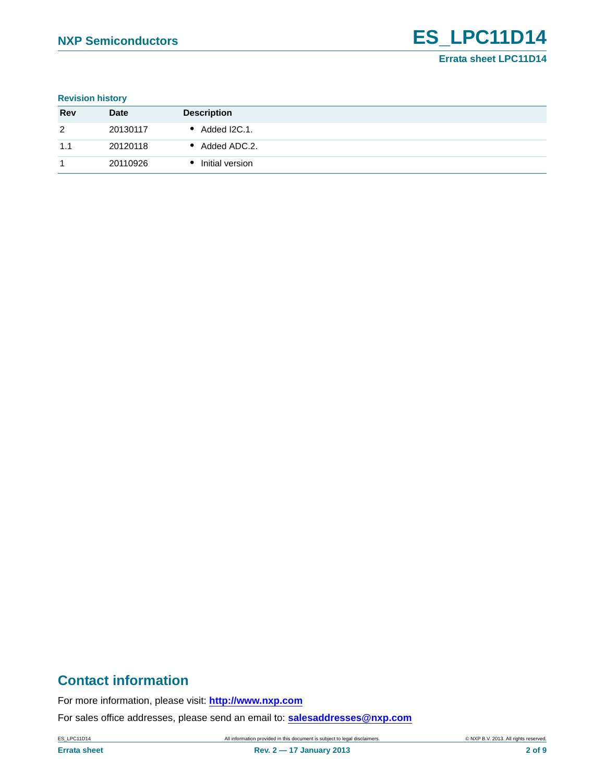#### **Revision history**

| <b>Rev</b> | <b>Date</b> | <b>Description</b> |
|------------|-------------|--------------------|
| 2          | 20130117    | Added I2C.1.       |
| 1.1        | 20120118    | Added ADC.2.       |
|            | 20110926    | Initial version    |

### **Contact information**

For more information, please visit: **http://www.nxp.com**

For sales office addresses, please send an email to: **salesaddresses@nxp.com**

ES\_LPC11D14 All information provided in this document is subject to legal disclaimers. © NXP B.V. 2013. All rights reserved.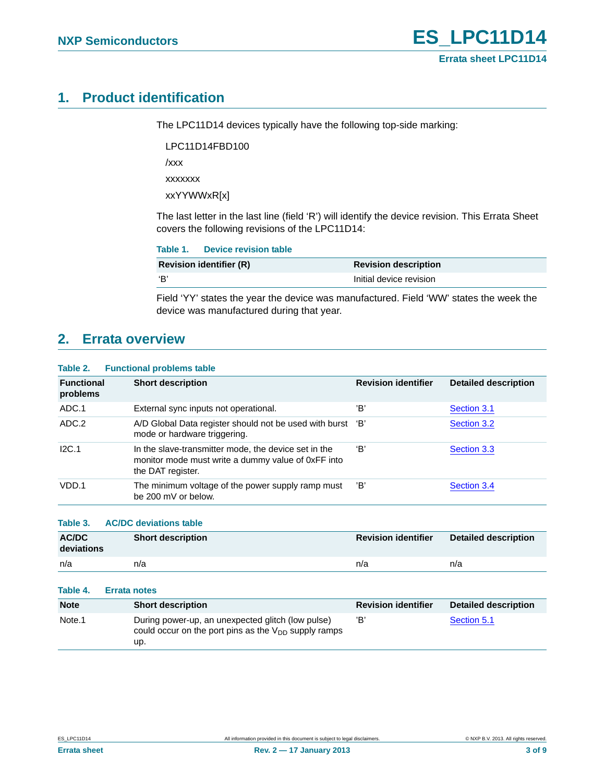### <span id="page-2-0"></span>**1. Product identification**

The LPC11D14 devices typically have the following top-side marking:

LPC11D14FBD100

/xxx

xxxxxxx

xxYYWWxR[x]

The last letter in the last line (field 'R') will identify the device revision. This Errata Sheet covers the following revisions of the LPC11D14:

|     | Table 1. Device revision table |                             |
|-----|--------------------------------|-----------------------------|
|     | <b>Revision identifier (R)</b> | <b>Revision description</b> |
| ʻB' |                                | Initial device revision     |

Field 'YY' states the year the device was manufactured. Field 'WW' states the week the device was manufactured during that year.

### <span id="page-2-1"></span>**2. Errata overview**

#### **Table 2. Functional problems table**

| <b>Functional</b><br>problems | <b>Short description</b>                                                                                                        | <b>Revision identifier</b> | <b>Detailed description</b> |
|-------------------------------|---------------------------------------------------------------------------------------------------------------------------------|----------------------------|-----------------------------|
| ADC.1                         | External sync inputs not operational.                                                                                           | 'B'                        | Section 3.1                 |
| ADC.2                         | A/D Global Data register should not be used with burst 'B'<br>mode or hardware triggering.                                      |                            | Section 3.2                 |
| I2C.1                         | In the slave-transmitter mode, the device set in the<br>monitor mode must write a dummy value of 0xFF into<br>the DAT register. | 'В'                        | Section 3.3                 |
| VDD.1                         | The minimum voltage of the power supply ramp must<br>be 200 mV or below.                                                        | 'B'                        | Section 3.4                 |

**Table 3. AC/DC deviations table**

| AC/DC<br>deviations | <b>Short description</b> | <b>Revision identifier</b> | <b>Detailed description</b> |
|---------------------|--------------------------|----------------------------|-----------------------------|
| n/a                 | n/a                      | n/a                        | n/a                         |

| Table 4.    | <b>Errata notes</b>                                                                                                   |                            |                      |
|-------------|-----------------------------------------------------------------------------------------------------------------------|----------------------------|----------------------|
| <b>Note</b> | <b>Short description</b>                                                                                              | <b>Revision identifier</b> | Detailed description |
| Note.1      | During power-up, an unexpected glitch (low pulse)<br>could occur on the port pins as the $V_{DD}$ supply ramps<br>up. | 'B'                        | Section 5.1          |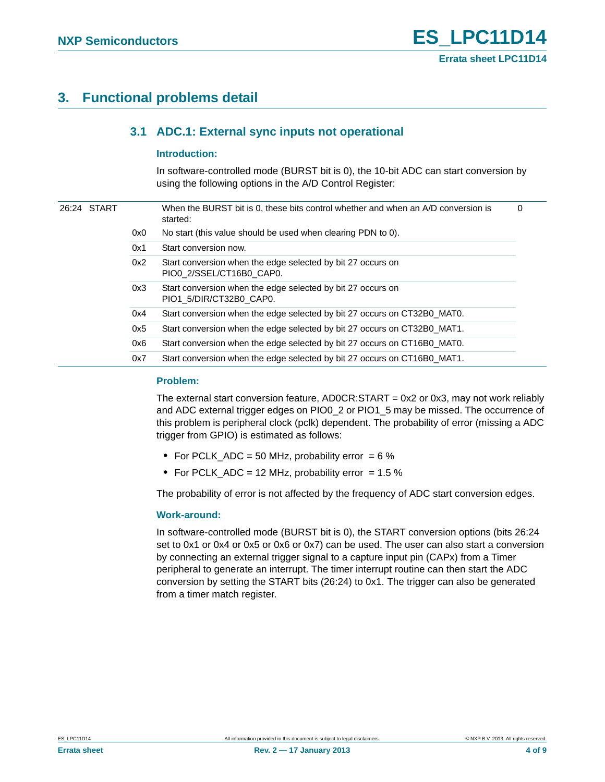### <span id="page-3-1"></span><span id="page-3-0"></span>**3. Functional problems detail**

#### **3.1 ADC.1: External sync inputs not operational**

#### <span id="page-3-2"></span>**Introduction:**

In software-controlled mode (BURST bit is 0), the 10-bit ADC can start conversion by using the following options in the A/D Control Register:

|  | 26:24 START |     | When the BURST bit is 0, these bits control whether and when an A/D conversion is<br>started: | 0 |
|--|-------------|-----|-----------------------------------------------------------------------------------------------|---|
|  |             | 0x0 | No start (this value should be used when clearing PDN to 0).                                  |   |
|  |             | 0x1 | Start conversion now.                                                                         |   |
|  |             | 0x2 | Start conversion when the edge selected by bit 27 occurs on<br>PIO0 2/SSEL/CT16B0 CAP0.       |   |
|  |             | 0x3 | Start conversion when the edge selected by bit 27 occurs on<br>PIO1 5/DIR/CT32B0 CAP0.        |   |
|  |             | 0x4 | Start conversion when the edge selected by bit 27 occurs on CT32B0_MAT0.                      |   |
|  |             | 0x5 | Start conversion when the edge selected by bit 27 occurs on CT32B0_MAT1.                      |   |
|  |             | 0x6 | Start conversion when the edge selected by bit 27 occurs on CT16B0 MAT0.                      |   |
|  |             | 0x7 | Start conversion when the edge selected by bit 27 occurs on CT16B0 MAT1.                      |   |

#### <span id="page-3-3"></span>**Problem:**

The external start conversion feature, AD0CR:START = 0x2 or 0x3, may not work reliably and ADC external trigger edges on PIO0\_2 or PIO1\_5 may be missed. The occurrence of this problem is peripheral clock (pclk) dependent. The probability of error (missing a ADC trigger from GPIO) is estimated as follows:

- **•** For PCLK\_ADC = 50 MHz, probability error = 6 %
- For PCLK\_ADC = 12 MHz, probability error = 1.5 %

The probability of error is not affected by the frequency of ADC start conversion edges.

#### <span id="page-3-4"></span>**Work-around:**

In software-controlled mode (BURST bit is 0), the START conversion options (bits 26:24 set to 0x1 or 0x4 or 0x5 or 0x6 or 0x7) can be used. The user can also start a conversion by connecting an external trigger signal to a capture input pin (CAPx) from a Timer peripheral to generate an interrupt. The timer interrupt routine can then start the ADC conversion by setting the START bits (26:24) to 0x1. The trigger can also be generated from a timer match register.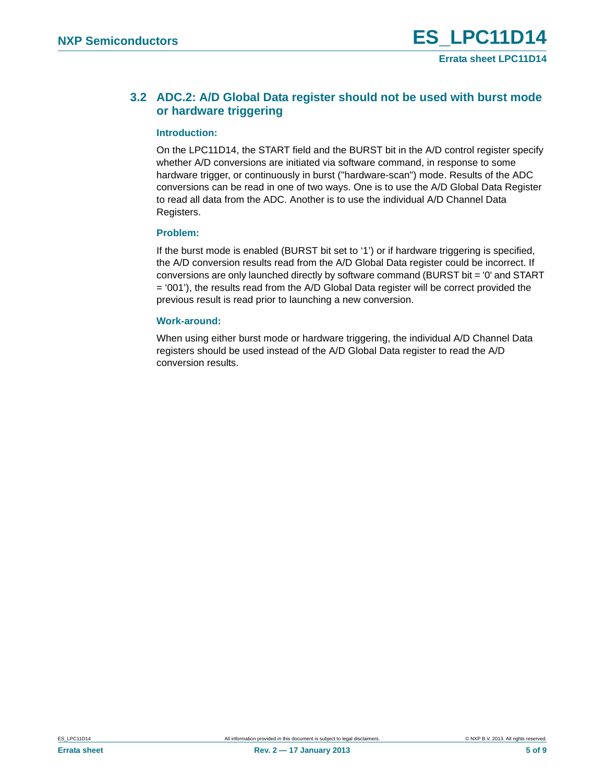### <span id="page-4-0"></span>**3.2 ADC.2: A/D Global Data register should not be used with burst mode or hardware triggering**

#### <span id="page-4-1"></span>**Introduction:**

On the LPC11D14, the START field and the BURST bit in the A/D control register specify whether A/D conversions are initiated via software command, in response to some hardware trigger, or continuously in burst ("hardware-scan") mode. Results of the ADC conversions can be read in one of two ways. One is to use the A/D Global Data Register to read all data from the ADC. Another is to use the individual A/D Channel Data Registers.

#### <span id="page-4-2"></span>**Problem:**

If the burst mode is enabled (BURST bit set to '1') or if hardware triggering is specified, the A/D conversion results read from the A/D Global Data register could be incorrect. If conversions are only launched directly by software command (BURST bit = '0' and START = '001'), the results read from the A/D Global Data register will be correct provided the previous result is read prior to launching a new conversion.

#### <span id="page-4-3"></span>**Work-around:**

When using either burst mode or hardware triggering, the individual A/D Channel Data registers should be used instead of the A/D Global Data register to read the A/D conversion results.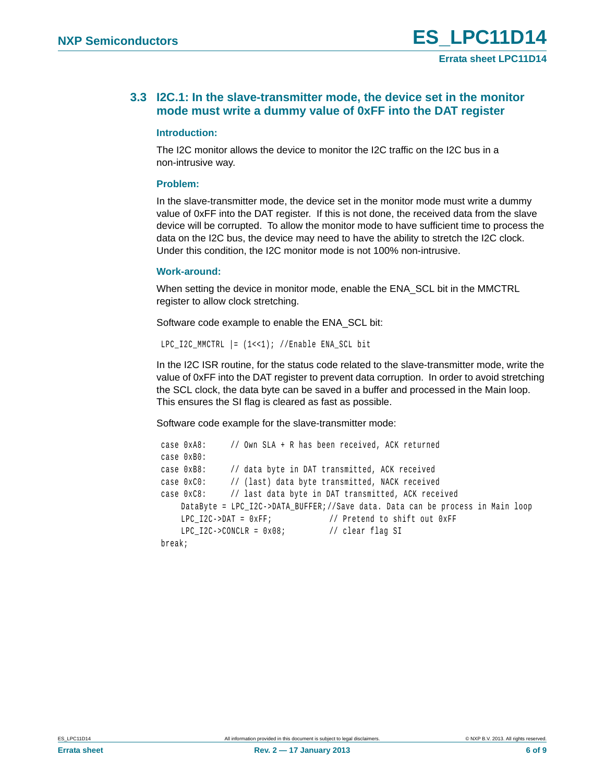#### <span id="page-5-0"></span>**3.3 I2C.1: In the slave-transmitter mode, the device set in the monitor mode must write a dummy value of 0xFF into the DAT register**

#### <span id="page-5-1"></span>**Introduction:**

The I2C monitor allows the device to monitor the I2C traffic on the I2C bus in a non-intrusive way.

#### <span id="page-5-2"></span>**Problem:**

In the slave-transmitter mode, the device set in the monitor mode must write a dummy value of 0xFF into the DAT register. If this is not done, the received data from the slave device will be corrupted. To allow the monitor mode to have sufficient time to process the data on the I2C bus, the device may need to have the ability to stretch the I2C clock. Under this condition, the I2C monitor mode is not 100% non-intrusive.

#### <span id="page-5-3"></span>**Work-around:**

When setting the device in monitor mode, enable the ENA\_SCL bit in the MMCTRL register to allow clock stretching.

Software code example to enable the ENA\_SCL bit:

```
LPC I2C MMCTRL | = (1 \lt \lt 1); //Enable ENA SCL bit
```
In the I2C ISR routine, for the status code related to the slave-transmitter mode, write the value of 0xFF into the DAT register to prevent data corruption. In order to avoid stretching the SCL clock, the data byte can be saved in a buffer and processed in the Main loop. This ensures the SI flag is cleared as fast as possible.

Software code example for the slave-transmitter mode:

```
 case 0xA8: // Own SLA + R has been received, ACK returned 
case 0xB0:
case 0xB8: // data byte in DAT transmitted, ACK received
case 0xC0: // (last) data byte transmitted, NACK received
case 0xC8: // last data byte in DAT transmitted, ACK received
   DataByte = LPC_I2C->DATA_BUFFER;//Save data. Data can be process in Main loop
   LPC I2C\rightarrow DAT = 0xFF; // Pretend to shift out 0xFF
   LPC_12C->CONCLR = 0x08; // clear flag SI
break;
```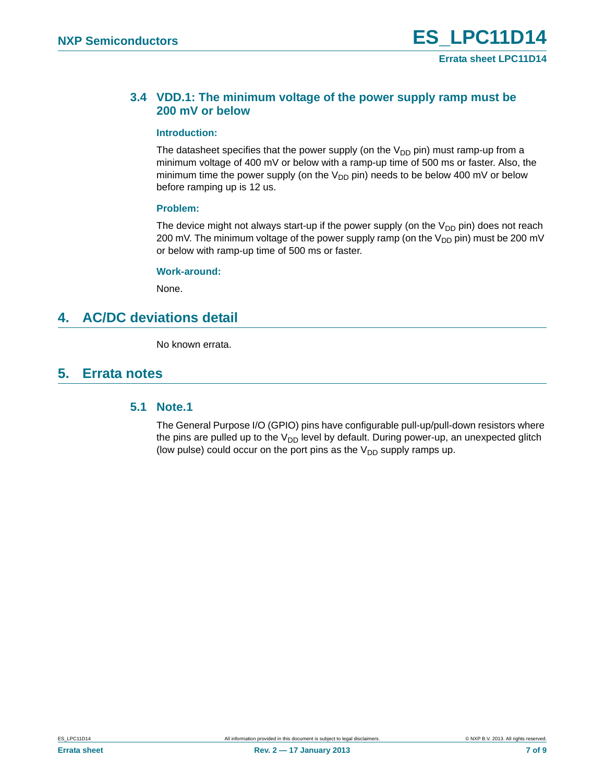#### <span id="page-6-0"></span>**3.4 VDD.1: The minimum voltage of the power supply ramp must be 200 mV or below**

#### <span id="page-6-2"></span>**Introduction:**

The datasheet specifies that the power supply (on the  $V_{DD}$  pin) must ramp-up from a minimum voltage of 400 mV or below with a ramp-up time of 500 ms or faster. Also, the minimum time the power supply (on the  $V_{DD}$  pin) needs to be below 400 mV or below before ramping up is 12 us.

#### <span id="page-6-3"></span>**Problem:**

The device might not always start-up if the power supply (on the  $V_{DD}$  pin) does not reach 200 mV. The minimum voltage of the power supply ramp (on the  $V_{DD}$  pin) must be 200 mV or below with ramp-up time of 500 ms or faster.

#### <span id="page-6-4"></span>**Work-around:**

None.

### <span id="page-6-5"></span>**4. AC/DC deviations detail**

No known errata.

### <span id="page-6-6"></span><span id="page-6-1"></span>**5. Errata notes**

#### **5.1 Note.1**

The General Purpose I/O (GPIO) pins have configurable pull-up/pull-down resistors where the pins are pulled up to the  $V_{DD}$  level by default. During power-up, an unexpected glitch (low pulse) could occur on the port pins as the  $V_{DD}$  supply ramps up.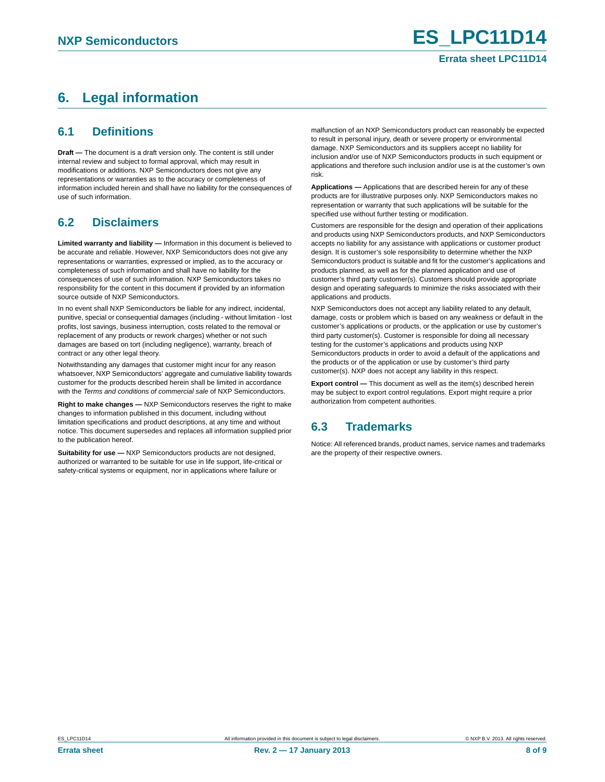## <span id="page-7-0"></span>**6. Legal information**

#### <span id="page-7-1"></span>**6.1 Definitions**

**Draft —** The document is a draft version only. The content is still under internal review and subject to formal approval, which may result in modifications or additions. NXP Semiconductors does not give any representations or warranties as to the accuracy or completeness of information included herein and shall have no liability for the consequences of use of such information.

### <span id="page-7-2"></span>**6.2 Disclaimers**

**Limited warranty and liability —** Information in this document is believed to be accurate and reliable. However, NXP Semiconductors does not give any representations or warranties, expressed or implied, as to the accuracy or completeness of such information and shall have no liability for the consequences of use of such information. NXP Semiconductors takes no responsibility for the content in this document if provided by an information source outside of NXP Semiconductors.

In no event shall NXP Semiconductors be liable for any indirect, incidental, punitive, special or consequential damages (including - without limitation - lost profits, lost savings, business interruption, costs related to the removal or replacement of any products or rework charges) whether or not such damages are based on tort (including negligence), warranty, breach of contract or any other legal theory.

Notwithstanding any damages that customer might incur for any reason whatsoever, NXP Semiconductors' aggregate and cumulative liability towards customer for the products described herein shall be limited in accordance with the *Terms and conditions of commercial sale* of NXP Semiconductors.

**Right to make changes —** NXP Semiconductors reserves the right to make changes to information published in this document, including without limitation specifications and product descriptions, at any time and without notice. This document supersedes and replaces all information supplied prior to the publication hereof.

**Suitability for use —** NXP Semiconductors products are not designed, authorized or warranted to be suitable for use in life support, life-critical or safety-critical systems or equipment, nor in applications where failure or

malfunction of an NXP Semiconductors product can reasonably be expected to result in personal injury, death or severe property or environmental damage. NXP Semiconductors and its suppliers accept no liability for inclusion and/or use of NXP Semiconductors products in such equipment or applications and therefore such inclusion and/or use is at the customer's own risk.

**Applications —** Applications that are described herein for any of these products are for illustrative purposes only. NXP Semiconductors makes no representation or warranty that such applications will be suitable for the specified use without further testing or modification.

Customers are responsible for the design and operation of their applications and products using NXP Semiconductors products, and NXP Semiconductors accepts no liability for any assistance with applications or customer product design. It is customer's sole responsibility to determine whether the NXP Semiconductors product is suitable and fit for the customer's applications and products planned, as well as for the planned application and use of customer's third party customer(s). Customers should provide appropriate design and operating safeguards to minimize the risks associated with their applications and products.

NXP Semiconductors does not accept any liability related to any default, damage, costs or problem which is based on any weakness or default in the customer's applications or products, or the application or use by customer's third party customer(s). Customer is responsible for doing all necessary testing for the customer's applications and products using NXP Semiconductors products in order to avoid a default of the applications and the products or of the application or use by customer's third party customer(s). NXP does not accept any liability in this respect.

**Export control —** This document as well as the item(s) described herein may be subject to export control regulations. Export might require a prior authorization from competent authorities.

### <span id="page-7-3"></span>**6.3 Trademarks**

Notice: All referenced brands, product names, service names and trademarks are the property of their respective owners.